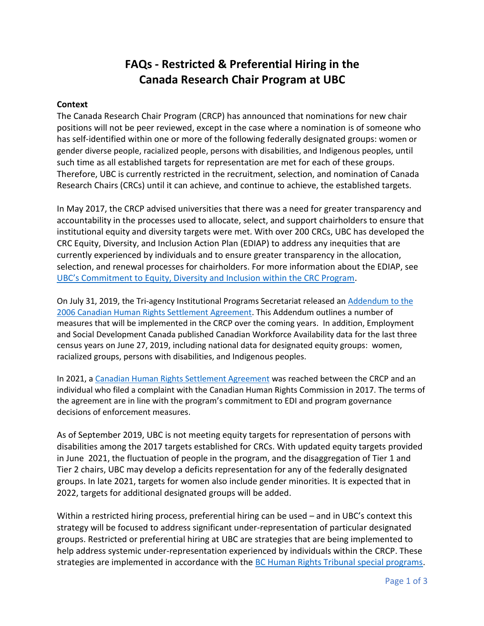# **FAQs - Restricted & Preferential Hiring in the Canada Research Chair Program at UBC**

#### **Context**

The Canada Research Chair Program (CRCP) has announced that nominations for new chair positions will not be peer reviewed, except in the case where a nomination is of someone who has self-identified within one or more of the following federally designated groups: women or gender diverse people, racialized people, persons with disabilities, and Indigenous peoples, until such time as all established targets for representation are met for each of these groups. Therefore, UBC is currently restricted in the recruitment, selection, and nomination of Canada Research Chairs (CRCs) until it can achieve, and continue to achieve, the established targets.

In May 2017, the CRCP advised universities that there was a need for greater transparency and accountability in the processes used to allocate, select, and support chairholders to ensure that institutional equity and diversity targets were met. With over 200 CRCs, UBC has developed the CRC Equity, Diversity, and Inclusion Action Plan (EDIAP) to address any inequities that are currently experienced by individuals and to ensure greater transparency in the allocation, selection, and renewal processes for chairholders. For more information about the EDIAP, see [UBC's Commitment to Equity, Diversity and Inclusion within the CRC Program](https://academic.ubc.ca/awards-funding/funding-opportunities/canada-research-chairs/ubcs-commitment-equity-diversity).

On July 31, 2019, the Tri-agency Institutional Programs Secretariat released an [Addendum to the](http://www.chairs-chaires.gc.ca/program-programme/equity-equite/pdf/addendum_to_2006_agreement-eng.pdf)  [2006 Canadian Human Rights Settlement Agreement.](http://www.chairs-chaires.gc.ca/program-programme/equity-equite/pdf/addendum_to_2006_agreement-eng.pdf) This Addendum outlines a number of measures that will be implemented in the CRCP over the coming years. In addition, Employment and Social Development Canada published Canadian Workforce Availability data for the last three census years on June 27, 2019, including national data for designated equity groups: women, racialized groups, persons with disabilities, and Indigenous peoples.

In 2021, a [Canadian Human Rights Settlement Agreement](https://www.chairs-chaires.gc.ca/program-programme/equity-equite/2021_settlement-reglement-eng.aspx) was reached between the CRCP and an individual who filed a complaint with the Canadian Human Rights Commission in 2017. The terms of the agreement are in line with the program's commitment to EDI and program governance decisions of enforcement measures.

As of September 2019, UBC is not meeting equity targets for representation of persons with disabilities among the 2017 targets established for CRCs. With updated equity targets provided in June 2021, the fluctuation of people in the program, and the disaggregation of Tier 1 and Tier 2 chairs, UBC may develop a deficits representation for any of the federally designated groups. In late 2021, targets for women also include gender minorities. It is expected that in 2022, targets for additional designated groups will be added.

Within a restricted hiring process, preferential hiring can be used – and in UBC's context this strategy will be focused to address significant under-representation of particular designated groups. Restricted or preferential hiring at UBC are strategies that are being implemented to help address systemic under-representation experienced by individuals within the CRCP. These strategies are implemented in accordance with the [BC Human Rights Tribunal special programs.](http://www.bchrt.bc.ca/law-library/employment-equity/special-programs.htm)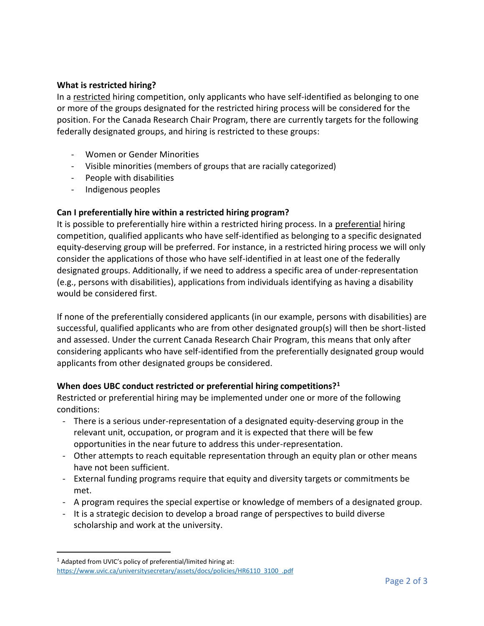## **What is restricted hiring?**

In a restricted hiring competition, only applicants who have self-identified as belonging to one or more of the groups designated for the restricted hiring process will be considered for the position. For the Canada Research Chair Program, there are currently targets for the following federally designated groups, and hiring is restricted to these groups:

- Women or Gender Minorities
- Visible minorities (members of groups that are racially categorized)
- People with disabilities
- Indigenous peoples

## **Can I preferentially hire within a restricted hiring program?**

It is possible to preferentially hire within a restricted hiring process. In a preferential hiring competition, qualified applicants who have self-identified as belonging to a specific designated equity-deserving group will be preferred. For instance, in a restricted hiring process we will only consider the applications of those who have self-identified in at least one of the federally designated groups. Additionally, if we need to address a specific area of under-representation (e.g., persons with disabilities), applications from individuals identifying as having a disability would be considered first.

If none of the preferentially considered applicants (in our example, persons with disabilities) are successful, qualified applicants who are from other designated group(s) will then be short-listed and assessed. Under the current Canada Research Chair Program, this means that only after considering applicants who have self-identified from the preferentially designated group would applicants from other designated groups be considered.

#### **When does UBC conduct restricted or preferential hiring competitions?<sup>1</sup>**

Restricted or preferential hiring may be implemented under one or more of the following conditions:

- There is a serious under-representation of a designated equity-deserving group in the relevant unit, occupation, or program and it is expected that there will be few opportunities in the near future to address this under-representation.
- Other attempts to reach equitable representation through an equity plan or other means have not been sufficient.
- External funding programs require that equity and diversity targets or commitments be met.
- A program requires the special expertise or knowledge of members of a designated group.
- It is a strategic decision to develop a broad range of perspectives to build diverse scholarship and work at the university.

 $\overline{a}$ 

<sup>1</sup> Adapted from UVIC's policy of preferential/limited hiring at: [https://www.uvic.ca/universitysecretary/assets/docs/policies/HR6110\\_3100\\_.pdf](https://www.uvic.ca/universitysecretary/assets/docs/policies/HR6110_3100_.pdf)